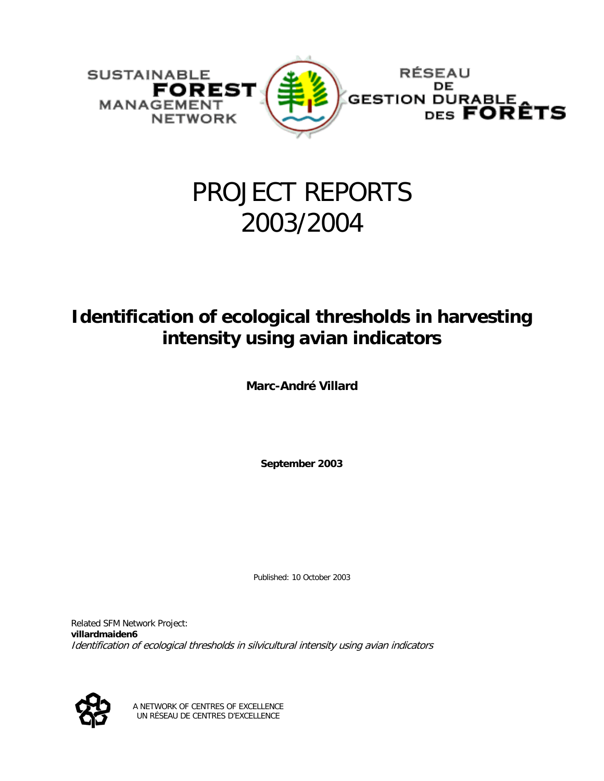

# PROJECT REPORTS 2003/2004

## **Identification of ecological thresholds in harvesting intensity using avian indicators**

**Marc-André Villard** 

**September 2003** 

Published: 10 October 2003

Related SFM Network Project: **villardmaiden6** Identification of ecological thresholds in silvicultural intensity using avian indicators



A NETWORK OF CENTRES OF EXCELLENCE UN RÉSEAU DE CENTRES D'EXCELLENCE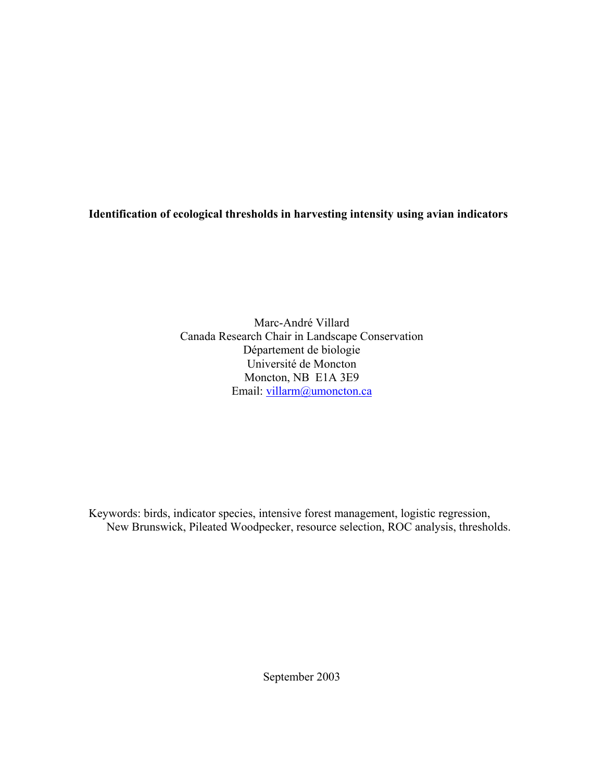### **Identification of ecological thresholds in harvesting intensity using avian indicators**

Marc-André Villard Canada Research Chair in Landscape Conservation Département de biologie Université de Moncton Moncton, NB E1A 3E9 Email: [villarm@umoncton.ca](mailto:villarm@umoncton.ca)

Keywords: birds, indicator species, intensive forest management, logistic regression, New Brunswick, Pileated Woodpecker, resource selection, ROC analysis, thresholds.

September 2003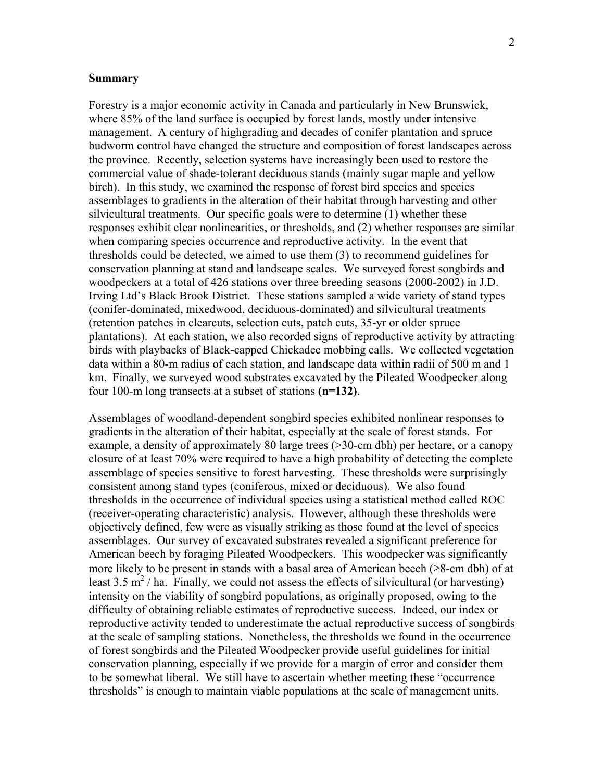#### **Summary**

Forestry is a major economic activity in Canada and particularly in New Brunswick, where 85% of the land surface is occupied by forest lands, mostly under intensive management.A century of highgrading and decades of conifer plantation and spruce budworm control have changed the structure and composition of forest landscapes across the province. Recently, selection systems have increasingly been used to restore the commercial value of shade-tolerant deciduous stands (mainly sugar maple and yellow birch). In this study, we examined the response of forest bird species and species assemblages to gradients in the alteration of their habitat through harvesting and other silvicultural treatments. Our specific goals were to determine (1) whether these responses exhibit clear nonlinearities, or thresholds, and (2) whether responses are similar when comparing species occurrence and reproductive activity. In the event that thresholds could be detected, we aimed to use them (3) to recommend guidelines for conservation planning at stand and landscape scales. We surveyed forest songbirds and woodpeckers at a total of 426 stations over three breeding seasons (2000-2002) in J.D. Irving Ltd's Black Brook District. These stations sampled a wide variety of stand types (conifer-dominated, mixedwood, deciduous-dominated) and silvicultural treatments (retention patches in clearcuts, selection cuts, patch cuts, 35-yr or older spruce plantations). At each station, we also recorded signs of reproductive activity by attracting birds with playbacks of Black-capped Chickadee mobbing calls. We collected vegetation data within a 80-m radius of each station, and landscape data within radii of 500 m and 1 km. Finally, we surveyed wood substrates excavated by the Pileated Woodpecker along four 100-m long transects at a subset of stations **(n=132)**.

Assemblages of woodland-dependent songbird species exhibited nonlinear responses to gradients in the alteration of their habitat, especially at the scale of forest stands. For example, a density of approximately 80 large trees (>30-cm dbh) per hectare, or a canopy closure of at least 70% were required to have a high probability of detecting the complete assemblage of species sensitive to forest harvesting. These thresholds were surprisingly consistent among stand types (coniferous, mixed or deciduous). We also found thresholds in the occurrence of individual species using a statistical method called ROC (receiver-operating characteristic) analysis. However, although these thresholds were objectively defined, few were as visually striking as those found at the level of species assemblages. Our survey of excavated substrates revealed a significant preference for American beech by foraging Pileated Woodpeckers. This woodpecker was significantly more likely to be present in stands with a basal area of American beech (≥8-cm dbh) of at least 3.5  $\text{m}^2$  / ha. Finally, we could not assess the effects of silvicultural (or harvesting) intensity on the viability of songbird populations, as originally proposed, owing to the difficulty of obtaining reliable estimates of reproductive success. Indeed, our index or reproductive activity tended to underestimate the actual reproductive success of songbirds at the scale of sampling stations. Nonetheless, the thresholds we found in the occurrence of forest songbirds and the Pileated Woodpecker provide useful guidelines for initial conservation planning, especially if we provide for a margin of error and consider them to be somewhat liberal. We still have to ascertain whether meeting these "occurrence thresholds" is enough to maintain viable populations at the scale of management units.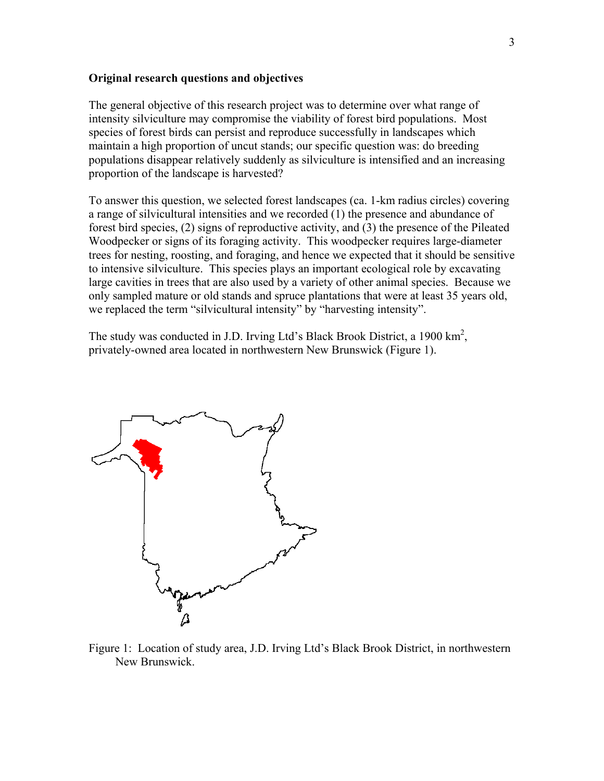#### **Original research questions and objectives**

The general objective of this research project was to determine over what range of intensity silviculture may compromise the viability of forest bird populations. Most species of forest birds can persist and reproduce successfully in landscapes which maintain a high proportion of uncut stands; our specific question was: do breeding populations disappear relatively suddenly as silviculture is intensified and an increasing proportion of the landscape is harvested?

To answer this question, we selected forest landscapes (ca. 1-km radius circles) covering a range of silvicultural intensities and we recorded (1) the presence and abundance of forest bird species, (2) signs of reproductive activity, and (3) the presence of the Pileated Woodpecker or signs of its foraging activity. This woodpecker requires large-diameter trees for nesting, roosting, and foraging, and hence we expected that it should be sensitive to intensive silviculture. This species plays an important ecological role by excavating large cavities in trees that are also used by a variety of other animal species. Because we only sampled mature or old stands and spruce plantations that were at least 35 years old, we replaced the term "silvicultural intensity" by "harvesting intensity".

The study was conducted in J.D. Irving Ltd's Black Brook District, a 1900  $\text{km}^2$ , privately-owned area located in northwestern New Brunswick (Figure 1).



Figure 1: Location of study area, J.D. Irving Ltd's Black Brook District, in northwestern New Brunswick.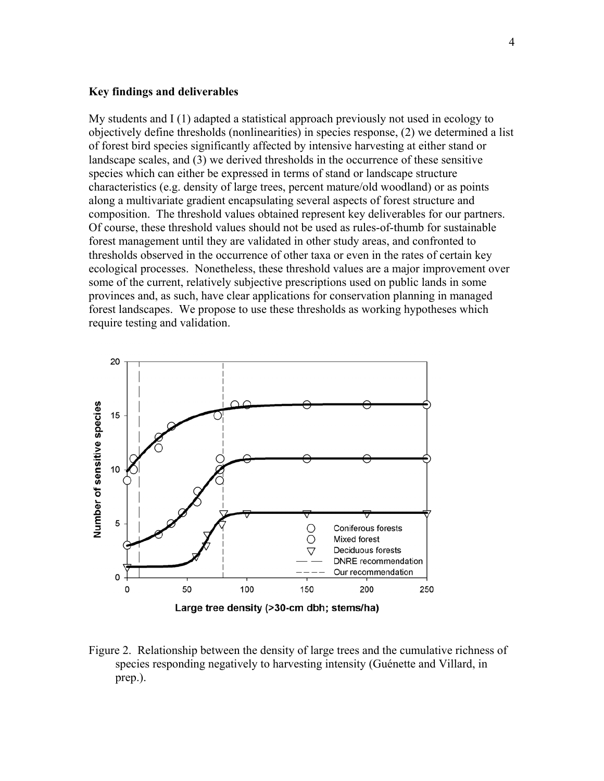#### **Key findings and deliverables**

My students and I (1) adapted a statistical approach previously not used in ecology to objectively define thresholds (nonlinearities) in species response, (2) we determined a list of forest bird species significantly affected by intensive harvesting at either stand or landscape scales, and (3) we derived thresholds in the occurrence of these sensitive species which can either be expressed in terms of stand or landscape structure characteristics (e.g. density of large trees, percent mature/old woodland) or as points along a multivariate gradient encapsulating several aspects of forest structure and composition. The threshold values obtained represent key deliverables for our partners. Of course, these threshold values should not be used as rules-of-thumb for sustainable forest management until they are validated in other study areas, and confronted to thresholds observed in the occurrence of other taxa or even in the rates of certain key ecological processes. Nonetheless, these threshold values are a major improvement over some of the current, relatively subjective prescriptions used on public lands in some provinces and, as such, have clear applications for conservation planning in managed forest landscapes. We propose to use these thresholds as working hypotheses which require testing and validation.



Figure 2. Relationship between the density of large trees and the cumulative richness of species responding negatively to harvesting intensity (Guénette and Villard, in prep.).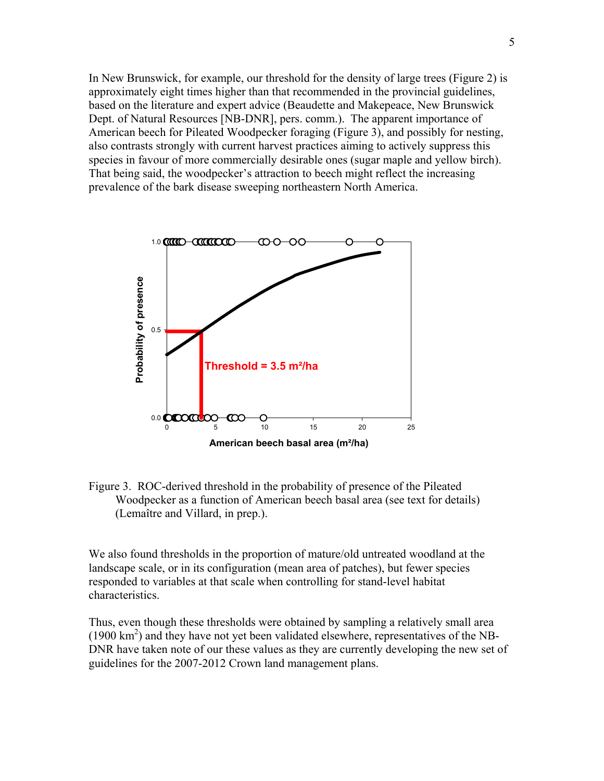In New Brunswick, for example, our threshold for the density of large trees (Figure 2) is approximately eight times higher than that recommended in the provincial guidelines, based on the literature and expert advice (Beaudette and Makepeace, New Brunswick Dept. of Natural Resources [NB-DNR], pers. comm.). The apparent importance of American beech for Pileated Woodpecker foraging (Figure 3), and possibly for nesting, also contrasts strongly with current harvest practices aiming to actively suppress this species in favour of more commercially desirable ones (sugar maple and yellow birch). That being said, the woodpecker's attraction to beech might reflect the increasing prevalence of the bark disease sweeping northeastern North America.



Figure 3. ROC-derived threshold in the probability of presence of the Pileated Woodpecker as a function of American beech basal area (see text for details) (Lemaître and Villard, in prep.).

We also found thresholds in the proportion of mature/old untreated woodland at the landscape scale, or in its configuration (mean area of patches), but fewer species responded to variables at that scale when controlling for stand-level habitat characteristics.

Thus, even though these thresholds were obtained by sampling a relatively small area  $(1900 \text{ km}^2)$  and they have not yet been validated elsewhere, representatives of the NB-DNR have taken note of our these values as they are currently developing the new set of guidelines for the 2007-2012 Crown land management plans.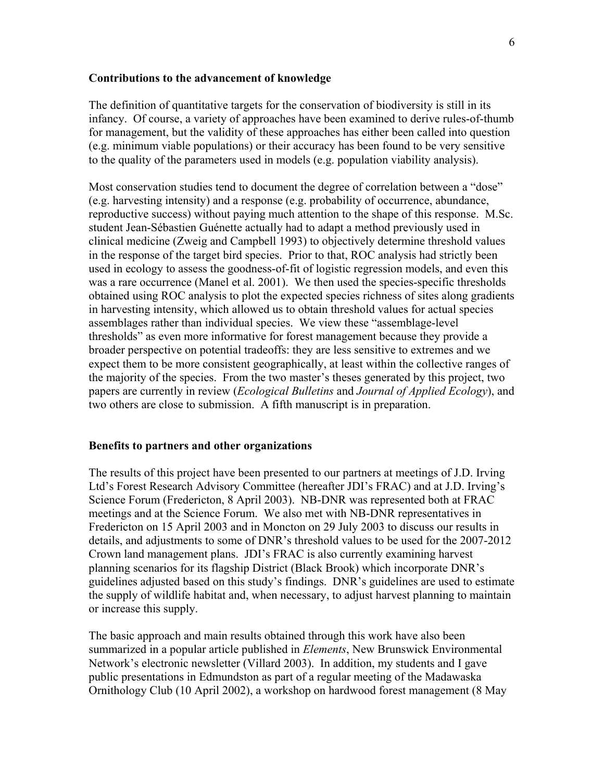#### **Contributions to the advancement of knowledge**

The definition of quantitative targets for the conservation of biodiversity is still in its infancy. Of course, a variety of approaches have been examined to derive rules-of-thumb for management, but the validity of these approaches has either been called into question (e.g. minimum viable populations) or their accuracy has been found to be very sensitive to the quality of the parameters used in models (e.g. population viability analysis).

Most conservation studies tend to document the degree of correlation between a "dose" (e.g. harvesting intensity) and a response (e.g. probability of occurrence, abundance, reproductive success) without paying much attention to the shape of this response. M.Sc. student Jean-Sébastien Guénette actually had to adapt a method previously used in clinical medicine (Zweig and Campbell 1993) to objectively determine threshold values in the response of the target bird species. Prior to that, ROC analysis had strictly been used in ecology to assess the goodness-of-fit of logistic regression models, and even this was a rare occurrence (Manel et al. 2001). We then used the species-specific thresholds obtained using ROC analysis to plot the expected species richness of sites along gradients in harvesting intensity, which allowed us to obtain threshold values for actual species assemblages rather than individual species. We view these "assemblage-level thresholds" as even more informative for forest management because they provide a broader perspective on potential tradeoffs: they are less sensitive to extremes and we expect them to be more consistent geographically, at least within the collective ranges of the majority of the species. From the two master's theses generated by this project, two papers are currently in review (*Ecological Bulletins* and *Journal of Applied Ecology*), and two others are close to submission. A fifth manuscript is in preparation.

#### **Benefits to partners and other organizations**

The results of this project have been presented to our partners at meetings of J.D. Irving Ltd's Forest Research Advisory Committee (hereafter JDI's FRAC) and at J.D. Irving's Science Forum (Fredericton, 8 April 2003). NB-DNR was represented both at FRAC meetings and at the Science Forum. We also met with NB-DNR representatives in Fredericton on 15 April 2003 and in Moncton on 29 July 2003 to discuss our results in details, and adjustments to some of DNR's threshold values to be used for the 2007-2012 Crown land management plans. JDI's FRAC is also currently examining harvest planning scenarios for its flagship District (Black Brook) which incorporate DNR's guidelines adjusted based on this study's findings. DNR's guidelines are used to estimate the supply of wildlife habitat and, when necessary, to adjust harvest planning to maintain or increase this supply.

The basic approach and main results obtained through this work have also been summarized in a popular article published in *Elements*, New Brunswick Environmental Network's electronic newsletter (Villard 2003). In addition, my students and I gave public presentations in Edmundston as part of a regular meeting of the Madawaska Ornithology Club (10 April 2002), a workshop on hardwood forest management (8 May